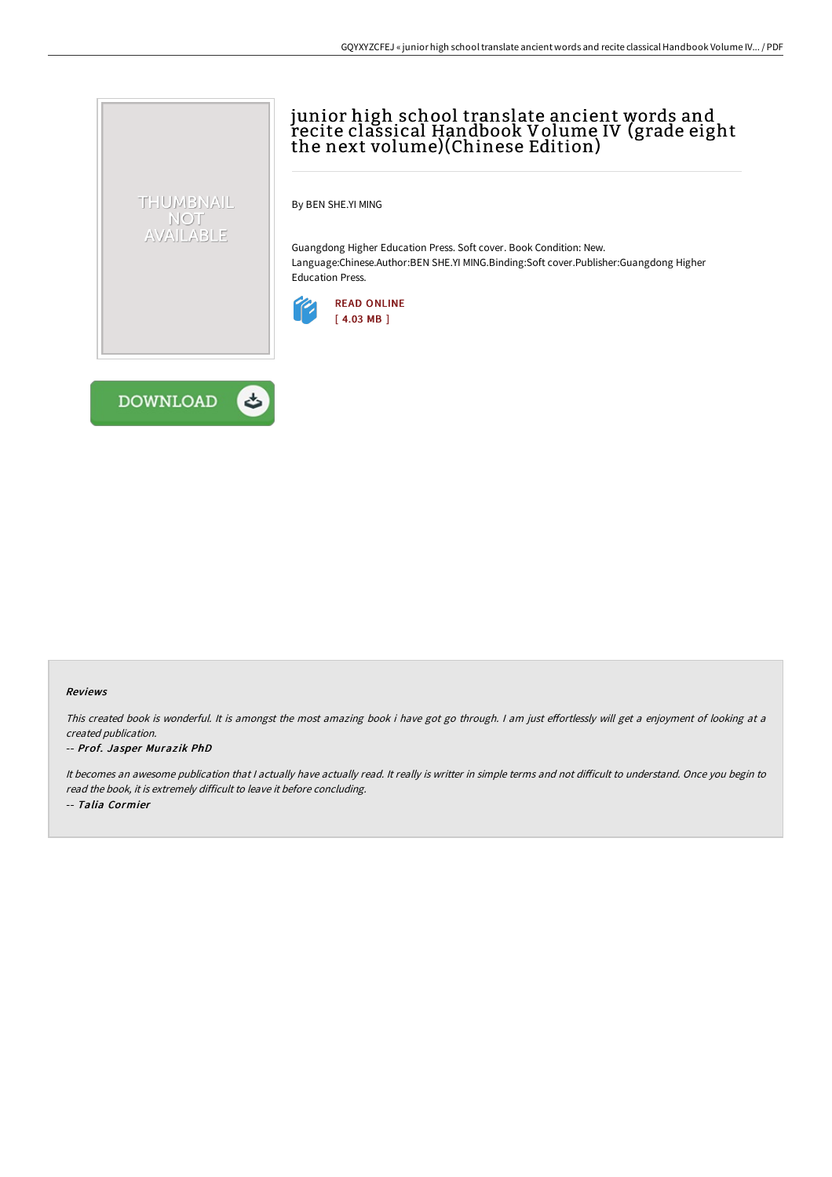# junior high school translate ancient words and recite classical Handbook Volume IV (grade eight the next volume)(Chinese Edition)

By BEN SHE.YI MING

Guangdong Higher Education Press. Soft cover. Book Condition: New. Language:Chinese.Author:BEN SHE.YI MING.Binding:Soft cover.Publisher:Guangdong Higher Education Press.





THUMBNAIL NOT AVAILABLE

#### Reviews

This created book is wonderful. It is amongst the most amazing book i have got go through. I am just effortlessly will get a enjoyment of looking at a created publication.

#### -- Prof. Jasper Muraz ik PhD

It becomes an awesome publication that I actually have actually read. It really is writter in simple terms and not difficult to understand. Once you begin to read the book, it is extremely difficult to leave it before concluding. -- Talia Cormier